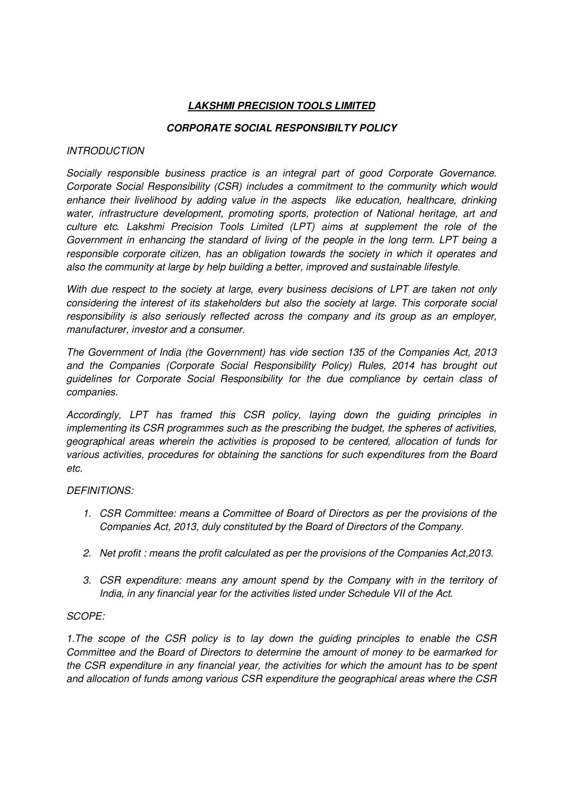# **LAKSHMI PRECISION TOOLS LIMITED**

# **CORPORATE SOCIAL RESPONSIBILTY POLICY**

### **INTRODUCTION**

Socially responsible business practice is an integral part of good Corporate Governance. Corporate Social Responsibility (CSR) includes a commitment to the community which would enhance their livelihood by adding value in the aspects like education, healthcare, drinking water, infrastructure development, promoting sports, protection of National heritage, art and culture etc. Lakshmi Precision Tools Limited (LPT) aims at supplement the role of the Government in enhancing the standard of living of the people in the long term. LPT being a responsible corporate citizen, has an obligation towards the society in which it operates and also the community at large by help building a better, improved and sustainable lifestyle.

With due respect to the society at large, every business decisions of LPT are taken not only considering the interest of its stakeholders but also the society at large. This corporate social responsibility is also seriously reflected across the company and its group as an employer, manufacturer, investor and a consumer.

The Government of India (the Government) has vide section 135 of the Companies Act, 2013 and the Companies (Corporate Social Responsibility Policy) Rules, 2014 has brought out guidelines for Corporate Social Responsibility for the due compliance by certain class of companies.

Accordingly, LPT has framed this CSR policy, laying down the guiding principles in implementing its CSR programmes such as the prescribing the budget, the spheres of activities, geographical areas wherein the activities is proposed to be centered, allocation of funds for various activities, procedures for obtaining the sanctions for such expenditures from the Board etc.

## DEFINITIONS:

- 1. CSR Committee: means a Committee of Board of Directors as per the provisions of the Companies Act, 2013, duly constituted by the Board of Directors of the Company.
- 2. Net profit : means the profit calculated as per the provisions of the Companies Act,2013.
- 3. CSR expenditure: means any amount spend by the Company with in the territory of India, in any financial year for the activities listed under Schedule VII of the Act.

## SCOPE:

1.The scope of the CSR policy is to lay down the guiding principles to enable the CSR Committee and the Board of Directors to determine the amount of money to be earmarked for the CSR expenditure in any financial year, the activities for which the amount has to be spent and allocation of funds among various CSR expenditure the geographical areas where the CSR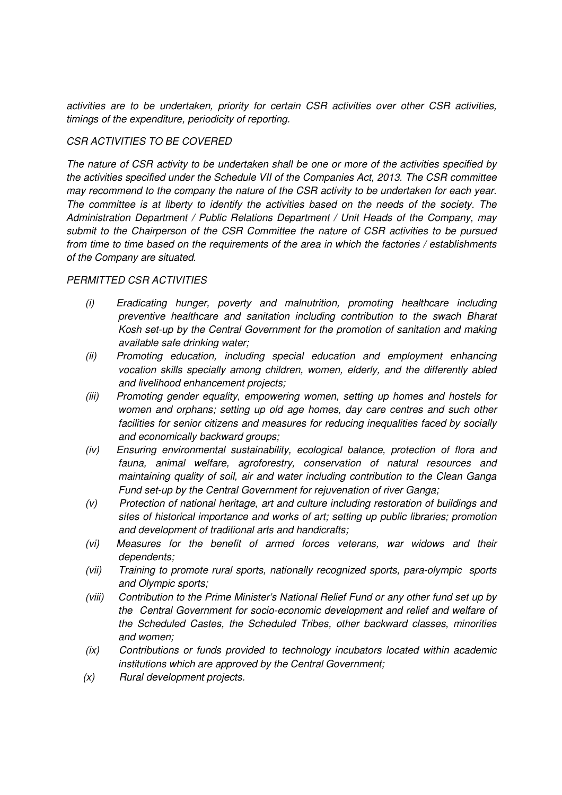activities are to be undertaken, priority for certain CSR activities over other CSR activities, timings of the expenditure, periodicity of reporting.

## CSR ACTIVITIES TO BE COVERED

The nature of CSR activity to be undertaken shall be one or more of the activities specified by the activities specified under the Schedule VII of the Companies Act, 2013. The CSR committee may recommend to the company the nature of the CSR activity to be undertaken for each year. The committee is at liberty to identify the activities based on the needs of the society. The Administration Department / Public Relations Department / Unit Heads of the Company, may submit to the Chairperson of the CSR Committee the nature of CSR activities to be pursued from time to time based on the requirements of the area in which the factories / establishments of the Company are situated.

### PERMITTED CSR ACTIVITIES

- (i) Eradicating hunger, poverty and malnutrition, promoting healthcare including preventive healthcare and sanitation including contribution to the swach Bharat Kosh set-up by the Central Government for the promotion of sanitation and making available safe drinking water;
- (ii) Promoting education, including special education and employment enhancing vocation skills specially among children, women, elderly, and the differently abled and livelihood enhancement projects;
- (iii) Promoting gender equality, empowering women, setting up homes and hostels for women and orphans; setting up old age homes, day care centres and such other facilities for senior citizens and measures for reducing inequalities faced by socially and economically backward groups;
- (iv) Ensuring environmental sustainability, ecological balance, protection of flora and fauna, animal welfare, agroforestry, conservation of natural resources and maintaining quality of soil, air and water including contribution to the Clean Ganga Fund set-up by the Central Government for rejuvenation of river Ganga;
- (v) Protection of national heritage, art and culture including restoration of buildings and sites of historical importance and works of art; setting up public libraries; promotion and development of traditional arts and handicrafts;
- (vi) Measures for the benefit of armed forces veterans, war widows and their dependents;
- (vii) Training to promote rural sports, nationally recognized sports, para-olympic sports and Olympic sports;
- (viii) Contribution to the Prime Minister's National Relief Fund or any other fund set up by the Central Government for socio-economic development and relief and welfare of the Scheduled Castes, the Scheduled Tribes, other backward classes, minorities and women;
- (ix) Contributions or funds provided to technology incubators located within academic institutions which are approved by the Central Government;
- (x) Rural development projects.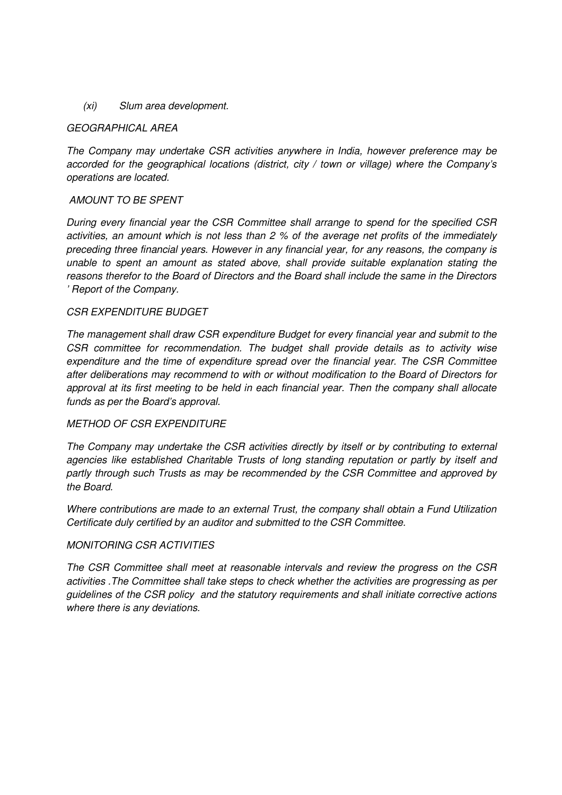### (xi) Slum area development.

### GEOGRAPHICAL AREA

The Company may undertake CSR activities anywhere in India, however preference may be accorded for the geographical locations (district, city / town or village) where the Company's operations are located.

### AMOUNT TO BE SPENT

During every financial year the CSR Committee shall arrange to spend for the specified CSR activities, an amount which is not less than 2 % of the average net profits of the immediately preceding three financial years. However in any financial year, for any reasons, the company is unable to spent an amount as stated above, shall provide suitable explanation stating the reasons therefor to the Board of Directors and the Board shall include the same in the Directors ' Report of the Company.

### CSR EXPENDITURE BUDGET

The management shall draw CSR expenditure Budget for every financial year and submit to the CSR committee for recommendation. The budget shall provide details as to activity wise expenditure and the time of expenditure spread over the financial year. The CSR Committee after deliberations may recommend to with or without modification to the Board of Directors for approval at its first meeting to be held in each financial year. Then the company shall allocate funds as per the Board's approval.

#### METHOD OF CSR EXPENDITURE

The Company may undertake the CSR activities directly by itself or by contributing to external agencies like established Charitable Trusts of long standing reputation or partly by itself and partly through such Trusts as may be recommended by the CSR Committee and approved by the Board.

Where contributions are made to an external Trust, the company shall obtain a Fund Utilization Certificate duly certified by an auditor and submitted to the CSR Committee.

#### MONITORING CSR ACTIVITIES

The CSR Committee shall meet at reasonable intervals and review the progress on the CSR activities .The Committee shall take steps to check whether the activities are progressing as per guidelines of the CSR policy and the statutory requirements and shall initiate corrective actions where there is any deviations.